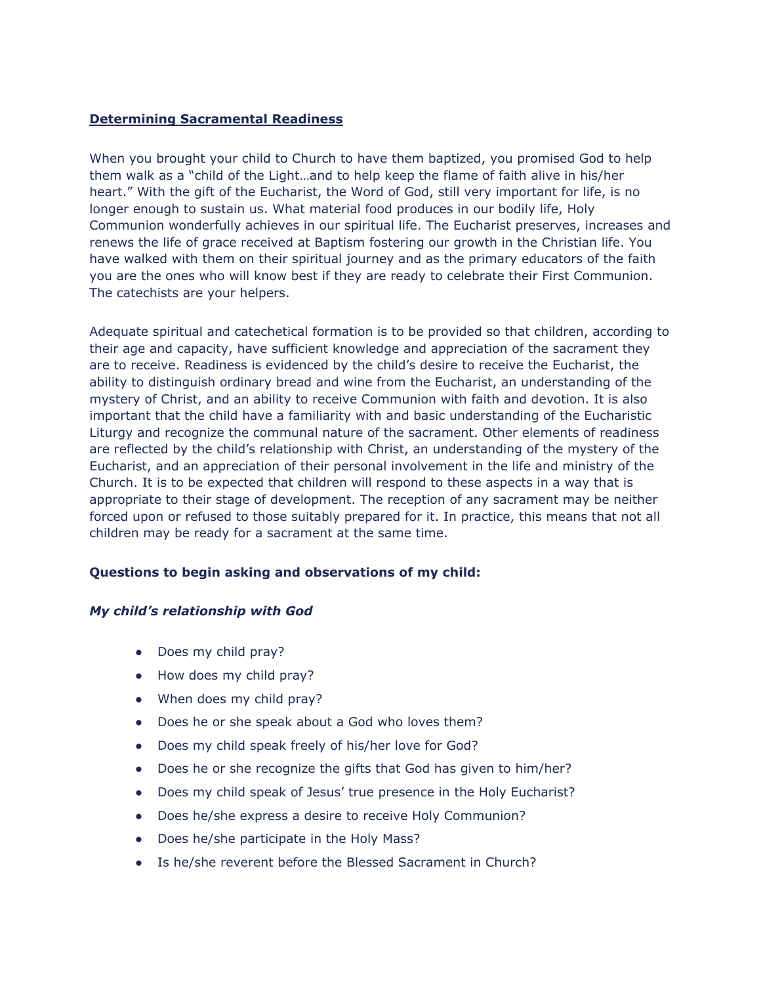## **Determining Sacramental Readiness**

When you brought your child to Church to have them baptized, you promised God to help them walk as a "child of the Light…and to help keep the flame of faith alive in his/her heart." With the gift of the Eucharist, the Word of God, still very important for life, is no longer enough to sustain us. What material food produces in our bodily life, Holy Communion wonderfully achieves in our spiritual life. The Eucharist preserves, increases and renews the life of grace received at Baptism fostering our growth in the Christian life. You have walked with them on their spiritual journey and as the primary educators of the faith you are the ones who will know best if they are ready to celebrate their First Communion. The catechists are your helpers.

Adequate spiritual and catechetical formation is to be provided so that children, according to their age and capacity, have sufficient knowledge and appreciation of the sacrament they are to receive. Readiness is evidenced by the child's desire to receive the Eucharist, the ability to distinguish ordinary bread and wine from the Eucharist, an understanding of the mystery of Christ, and an ability to receive Communion with faith and devotion. It is also important that the child have a familiarity with and basic understanding of the Eucharistic Liturgy and recognize the communal nature of the sacrament. Other elements of readiness are reflected by the child's relationship with Christ, an understanding of the mystery of the Eucharist, and an appreciation of their personal involvement in the life and ministry of the Church. It is to be expected that children will respond to these aspects in a way that is appropriate to their stage of development. The reception of any sacrament may be neither forced upon or refused to those suitably prepared for it. In practice, this means that not all children may be ready for a sacrament at the same time.

## **Questions to begin asking and observations of my child:**

## *My child's relationship with God*

- Does my child pray?
- How does my child pray?
- When does my child pray?
- Does he or she speak about a God who loves them?
- Does my child speak freely of his/her love for God?
- Does he or she recognize the gifts that God has given to him/her?
- Does my child speak of Jesus' true presence in the Holy Eucharist?
- Does he/she express a desire to receive Holy Communion?
- Does he/she participate in the Holy Mass?
- Is he/she reverent before the Blessed Sacrament in Church?